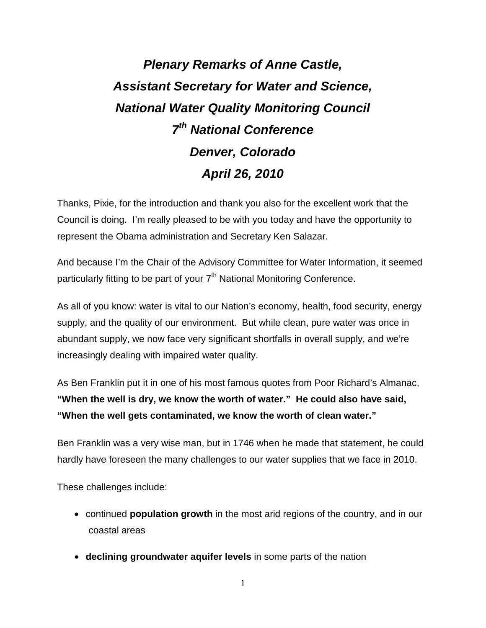# *Plenary Remarks of Anne Castle, Assistant Secretary for Water and Science, National Water Quality Monitoring Council 7th National Conference Denver, Colorado April 26, 2010*

Thanks, Pixie, for the introduction and thank you also for the excellent work that the Council is doing. I'm really pleased to be with you today and have the opportunity to represent the Obama administration and Secretary Ken Salazar.

And because I'm the Chair of the Advisory Committee for Water Information, it seemed particularly fitting to be part of your 7<sup>th</sup> National Monitoring Conference.

As all of you know: water is vital to our Nation's economy, health, food security, energy supply, and the quality of our environment. But while clean, pure water was once in abundant supply, we now face very significant shortfalls in overall supply, and we're increasingly dealing with impaired water quality.

As Ben Franklin put it in one of his most famous quotes from Poor Richard's Almanac, **"When the well is dry, we know the worth of water." He could also have said, "When the well gets contaminated, we know the worth of clean water."**

Ben Franklin was a very wise man, but in 1746 when he made that statement, he could hardly have foreseen the many challenges to our water supplies that we face in 2010.

These challenges include:

- continued **population growth** in the most arid regions of the country, and in our coastal areas
- **declining groundwater aquifer levels** in some parts of the nation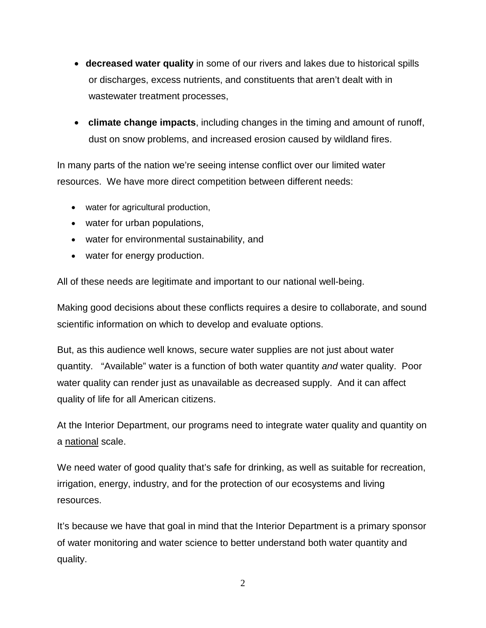- **decreased water quality** in some of our rivers and lakes due to historical spills or discharges, excess nutrients, and constituents that aren't dealt with in wastewater treatment processes,
- **climate change impacts**, including changes in the timing and amount of runoff, dust on snow problems, and increased erosion caused by wildland fires.

In many parts of the nation we're seeing intense conflict over our limited water resources. We have more direct competition between different needs:

- water for agricultural production,
- water for urban populations,
- water for environmental sustainability, and
- water for energy production.

All of these needs are legitimate and important to our national well-being.

Making good decisions about these conflicts requires a desire to collaborate, and sound scientific information on which to develop and evaluate options.

But, as this audience well knows, secure water supplies are not just about water quantity. "Available" water is a function of both water quantity *and* water quality. Poor water quality can render just as unavailable as decreased supply. And it can affect quality of life for all American citizens.

At the Interior Department, our programs need to integrate water quality and quantity on a national scale.

We need water of good quality that's safe for drinking, as well as suitable for recreation, irrigation, energy, industry, and for the protection of our ecosystems and living resources.

It's because we have that goal in mind that the Interior Department is a primary sponsor of water monitoring and water science to better understand both water quantity and quality.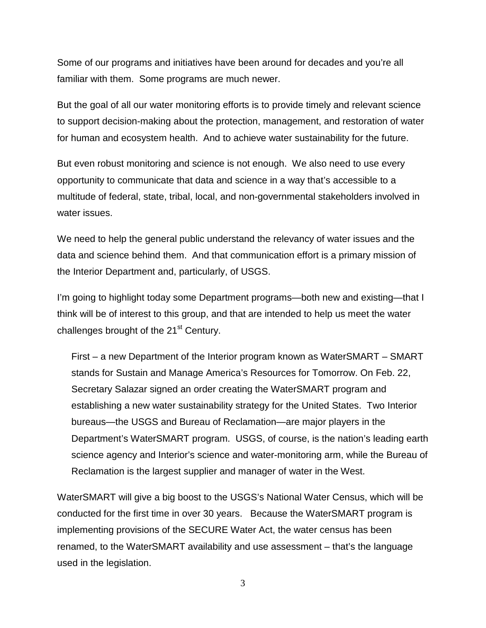Some of our programs and initiatives have been around for decades and you're all familiar with them. Some programs are much newer.

But the goal of all our water monitoring efforts is to provide timely and relevant science to support decision-making about the protection, management, and restoration of water for human and ecosystem health. And to achieve water sustainability for the future.

But even robust monitoring and science is not enough. We also need to use every opportunity to communicate that data and science in a way that's accessible to a multitude of federal, state, tribal, local, and non-governmental stakeholders involved in water issues.

We need to help the general public understand the relevancy of water issues and the data and science behind them. And that communication effort is a primary mission of the Interior Department and, particularly, of USGS.

I'm going to highlight today some Department programs—both new and existing—that I think will be of interest to this group, and that are intended to help us meet the water challenges brought of the  $21<sup>st</sup>$  Century.

First – a new Department of the Interior program known as WaterSMART – SMART stands for Sustain and Manage America's Resources for Tomorrow. On Feb. 22, Secretary Salazar signed an order creating the WaterSMART program and establishing a new water sustainability strategy for the United States. Two Interior bureaus—the USGS and Bureau of Reclamation—are major players in the Department's WaterSMART program. USGS, of course, is the nation's leading earth science agency and Interior's science and water-monitoring arm, while the Bureau of Reclamation is the largest supplier and manager of water in the West.

WaterSMART will give a big boost to the USGS's National Water Census, which will be conducted for the first time in over 30 years. Because the WaterSMART program is implementing provisions of the SECURE Water Act, the water census has been renamed, to the WaterSMART availability and use assessment – that's the language used in the legislation.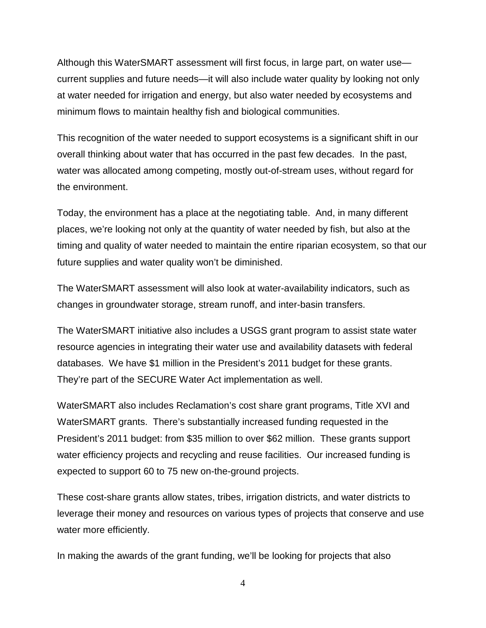Although this WaterSMART assessment will first focus, in large part, on water use current supplies and future needs—it will also include water quality by looking not only at water needed for irrigation and energy, but also water needed by ecosystems and minimum flows to maintain healthy fish and biological communities.

This recognition of the water needed to support ecosystems is a significant shift in our overall thinking about water that has occurred in the past few decades. In the past, water was allocated among competing, mostly out-of-stream uses, without regard for the environment.

Today, the environment has a place at the negotiating table. And, in many different places, we're looking not only at the quantity of water needed by fish, but also at the timing and quality of water needed to maintain the entire riparian ecosystem, so that our future supplies and water quality won't be diminished.

The WaterSMART assessment will also look at water-availability indicators, such as changes in groundwater storage, stream runoff, and inter-basin transfers.

The WaterSMART initiative also includes a USGS grant program to assist state water resource agencies in integrating their water use and availability datasets with federal databases. We have \$1 million in the President's 2011 budget for these grants. They're part of the SECURE Water Act implementation as well.

WaterSMART also includes Reclamation's cost share grant programs, Title XVI and WaterSMART grants. There's substantially increased funding requested in the President's 2011 budget: from \$35 million to over \$62 million. These grants support water efficiency projects and recycling and reuse facilities. Our increased funding is expected to support 60 to 75 new on-the-ground projects.

These cost-share grants allow states, tribes, irrigation districts, and water districts to leverage their money and resources on various types of projects that conserve and use water more efficiently.

In making the awards of the grant funding, we'll be looking for projects that also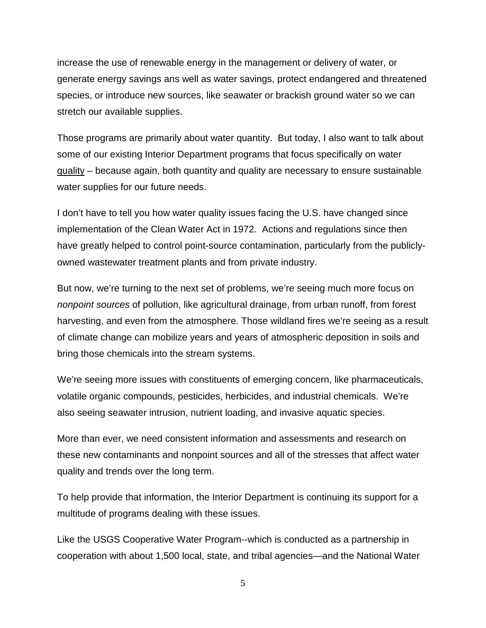increase the use of renewable energy in the management or delivery of water, or generate energy savings ans well as water savings, protect endangered and threatened species, or introduce new sources, like seawater or brackish ground water so we can stretch our available supplies.

Those programs are primarily about water quantity. But today, I also want to talk about some of our existing Interior Department programs that focus specifically on water quality – because again, both quantity and quality are necessary to ensure sustainable water supplies for our future needs.

I don't have to tell you how water quality issues facing the U.S. have changed since implementation of the Clean Water Act in 1972. Actions and regulations since then have greatly helped to control point-source contamination, particularly from the publiclyowned wastewater treatment plants and from private industry.

But now, we're turning to the next set of problems, we're seeing much more focus on *nonpoint sources* of pollution, like agricultural drainage, from urban runoff, from forest harvesting, and even from the atmosphere. Those wildland fires we're seeing as a result of climate change can mobilize years and years of atmospheric deposition in soils and bring those chemicals into the stream systems.

We're seeing more issues with constituents of emerging concern, like pharmaceuticals, volatile organic compounds, pesticides, herbicides, and industrial chemicals. We're also seeing seawater intrusion, nutrient loading, and invasive aquatic species.

More than ever, we need consistent information and assessments and research on these new contaminants and nonpoint sources and all of the stresses that affect water quality and trends over the long term.

To help provide that information, the Interior Department is continuing its support for a multitude of programs dealing with these issues.

Like the USGS Cooperative Water Program--which is conducted as a partnership in cooperation with about 1,500 local, state, and tribal agencies—and the National Water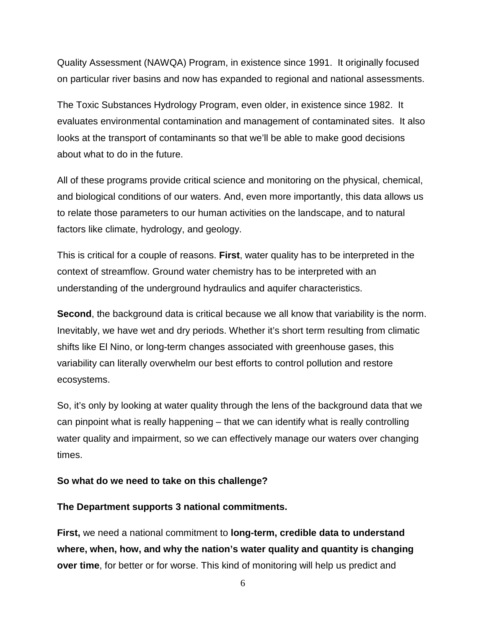Quality Assessment (NAWQA) Program, in existence since 1991. It originally focused on particular river basins and now has expanded to regional and national assessments.

The Toxic Substances Hydrology Program, even older, in existence since 1982. It evaluates environmental contamination and management of contaminated sites. It also looks at the transport of contaminants so that we'll be able to make good decisions about what to do in the future.

All of these programs provide critical science and monitoring on the physical, chemical, and biological conditions of our waters. And, even more importantly, this data allows us to relate those parameters to our human activities on the landscape, and to natural factors like climate, hydrology, and geology.

This is critical for a couple of reasons. **First**, water quality has to be interpreted in the context of streamflow. Ground water chemistry has to be interpreted with an understanding of the underground hydraulics and aquifer characteristics.

**Second**, the background data is critical because we all know that variability is the norm. Inevitably, we have wet and dry periods. Whether it's short term resulting from climatic shifts like El Nino, or long-term changes associated with greenhouse gases, this variability can literally overwhelm our best efforts to control pollution and restore ecosystems.

So, it's only by looking at water quality through the lens of the background data that we can pinpoint what is really happening – that we can identify what is really controlling water quality and impairment, so we can effectively manage our waters over changing times.

#### **So what do we need to take on this challenge?**

#### **The Department supports 3 national commitments.**

**First,** we need a national commitment to **long-term, credible data to understand where, when, how, and why the nation's water quality and quantity is changing over time**, for better or for worse. This kind of monitoring will help us predict and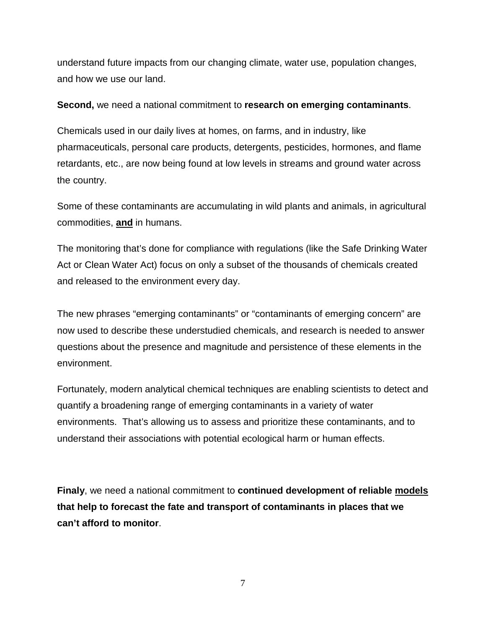understand future impacts from our changing climate, water use, population changes, and how we use our land.

**Second,** we need a national commitment to **research on emerging contaminants**.

Chemicals used in our daily lives at homes, on farms, and in industry, like pharmaceuticals, personal care products, detergents, pesticides, hormones, and flame retardants, etc., are now being found at low levels in streams and ground water across the country.

Some of these contaminants are accumulating in wild plants and animals, in agricultural commodities, **and** in humans.

The monitoring that's done for compliance with regulations (like the Safe Drinking Water Act or Clean Water Act) focus on only a subset of the thousands of chemicals created and released to the environment every day.

The new phrases "emerging contaminants" or "contaminants of emerging concern" are now used to describe these understudied chemicals, and research is needed to answer questions about the presence and magnitude and persistence of these elements in the environment.

Fortunately, modern analytical chemical techniques are enabling scientists to detect and quantify a broadening range of emerging contaminants in a variety of water environments. That's allowing us to assess and prioritize these contaminants, and to understand their associations with potential ecological harm or human effects.

**Finaly**, we need a national commitment to **continued development of reliable models that help to forecast the fate and transport of contaminants in places that we can't afford to monitor**.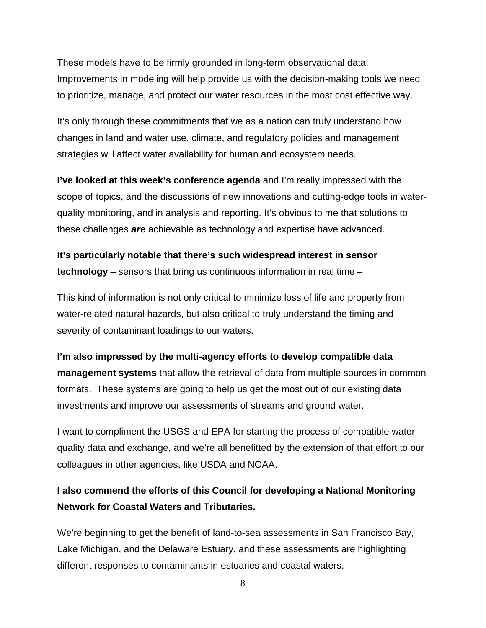These models have to be firmly grounded in long-term observational data. Improvements in modeling will help provide us with the decision-making tools we need to prioritize, manage, and protect our water resources in the most cost effective way.

It's only through these commitments that we as a nation can truly understand how changes in land and water use, climate, and regulatory policies and management strategies will affect water availability for human and ecosystem needs.

**I've looked at this week's conference agenda** and I'm really impressed with the scope of topics, and the discussions of new innovations and cutting-edge tools in waterquality monitoring, and in analysis and reporting. It's obvious to me that solutions to these challenges *ar***e** achievable as technology and expertise have advanced.

**It's particularly notable that there's such widespread interest in sensor technology** – sensors that bring us continuous information in real time –

This kind of information is not only critical to minimize loss of life and property from water-related natural hazards, but also critical to truly understand the timing and severity of contaminant loadings to our waters.

**I'm also impressed by the multi-agency efforts to develop compatible data management systems** that allow the retrieval of data from multiple sources in common formats. These systems are going to help us get the most out of our existing data investments and improve our assessments of streams and ground water.

I want to compliment the USGS and EPA for starting the process of compatible waterquality data and exchange, and we're all benefitted by the extension of that effort to our colleagues in other agencies, like USDA and NOAA.

## **I also commend the efforts of this Council for developing a National Monitoring Network for Coastal Waters and Tributaries.**

We're beginning to get the benefit of land-to-sea assessments in San Francisco Bay, Lake Michigan, and the Delaware Estuary, and these assessments are highlighting different responses to contaminants in estuaries and coastal waters.